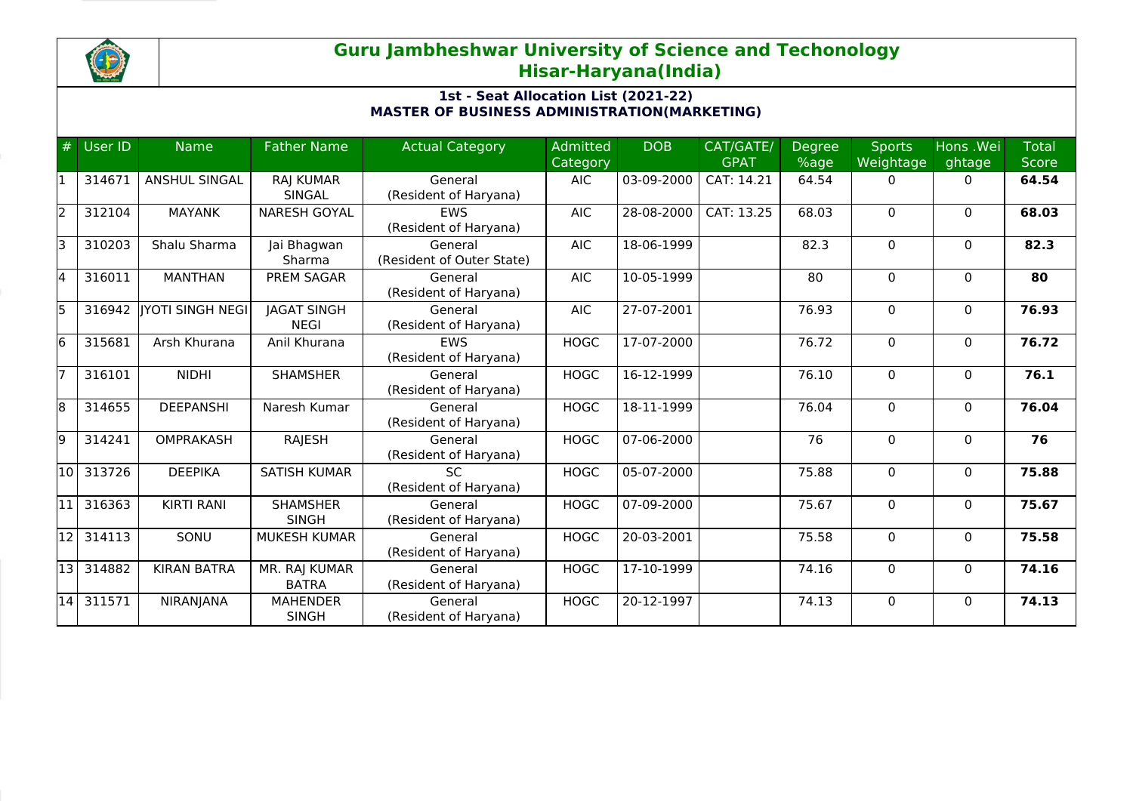

## **Guru Jambheshwar University of Science and Techonology Hisar-Haryana(India)**

## **1st - Seat Allocation List (2021-22) MASTER OF BUSINESS ADMINISTRATION(MARKETING)**

| #    | User ID   | <b>Name</b>             | <b>Father Name</b>                | <b>Actual Category</b>               | <b>Admitted</b><br>Category | <b>DOB</b>   | CAT/GATE/<br><b>GPAT</b> | <b>Degree</b><br>%age | <b>Sports</b><br>Weightage | Hons .Wei<br>ghtage | <b>Total</b><br><b>Score</b> |
|------|-----------|-------------------------|-----------------------------------|--------------------------------------|-----------------------------|--------------|--------------------------|-----------------------|----------------------------|---------------------|------------------------------|
|      | 314671    | <b>ANSHUL SINGAL</b>    | <b>RAJ KUMAR</b><br>SINGAL        | General<br>(Resident of Haryana)     | <b>AIC</b>                  | 03-09-2000   | CAT: 14.21               | 64.54                 | 0                          | $\mathbf{0}$        | 64.54                        |
| l2   | 312104    | <b>MAYANK</b>           | <b>NARESH GOYAL</b>               | <b>EWS</b><br>(Resident of Haryana)  | <b>AIC</b>                  | 28-08-2000   | CAT: 13.25               | 68.03                 | $\Omega$                   | $\Omega$            | 68.03                        |
| lз   | 310203    | Shalu Sharma            | Jai Bhagwan<br>Sharma             | General<br>(Resident of Outer State) | <b>AIC</b>                  | 18-06-1999   |                          | 82.3                  | $\Omega$                   | $\Omega$            | 82.3                         |
| 14   | 316011    | <b>MANTHAN</b>          | PREM SAGAR                        | General<br>(Resident of Haryana)     | <b>AIC</b>                  | 10-05-1999   |                          | 80                    | $\Omega$                   | $\Omega$            | 80                           |
| l5   | 316942    | <b>JYOTI SINGH NEGI</b> | <b>JAGAT SINGH</b><br><b>NEGI</b> | General<br>(Resident of Haryana)     | <b>AIC</b>                  | 27-07-2001   |                          | 76.93                 | $\Omega$                   | $\Omega$            | 76.93                        |
| 16   | 315681    | Arsh Khurana            | Anil Khurana                      | <b>EWS</b><br>(Resident of Haryana)  | <b>HOGC</b>                 | 17-07-2000   |                          | 76.72                 | $\Omega$                   | $\Omega$            | 76.72                        |
|      | 316101    | <b>NIDHI</b>            | <b>SHAMSHER</b>                   | General<br>(Resident of Haryana)     | <b>HOGC</b>                 | 16-12-1999   |                          | 76.10                 | $\Omega$                   | $\mathbf{0}$        | 76.1                         |
| 18   | 314655    | <b>DEEPANSHI</b>        | Naresh Kumar                      | General<br>(Resident of Haryana)     | <b>HOGC</b>                 | 18-11-1999   |                          | 76.04                 | 0                          | $\mathbf{0}$        | 76.04                        |
| l9   | 314241    | <b>OMPRAKASH</b>        | RAJESH                            | General<br>(Resident of Haryana)     | <b>HOGC</b>                 | 07-06-2000   |                          | 76                    | 0                          | $\Omega$            | 76                           |
| 10 l | 313726    | <b>DEEPIKA</b>          | <b>SATISH KUMAR</b>               | <b>SC</b><br>(Resident of Haryana)   | <b>HOGC</b>                 | 05-07-2000   |                          | 75.88                 | $\Omega$                   | $\mathbf{0}$        | 75.88                        |
|      | 316363    | <b>KIRTI RANI</b>       | <b>SHAMSHER</b><br><b>SINGH</b>   | General<br>(Resident of Haryana)     | <b>HOGC</b>                 | $07-09-2000$ |                          | 75.67                 | 0                          | $\Omega$            | 75.67                        |
| 12   | 314113    | SONU                    | MUKESH KUMAR                      | General<br>(Resident of Haryana)     | <b>HOGC</b>                 | 20-03-2001   |                          | 75.58                 | $\Omega$                   | $\Omega$            | 75.58                        |
| 13   | 314882    | <b>KIRAN BATRA</b>      | MR. RAJ KUMAR<br><b>BATRA</b>     | General<br>(Resident of Haryana)     | <b>HOGC</b>                 | 17-10-1999   |                          | 74.16                 | 0                          | $\Omega$            | 74.16                        |
|      | 14 311571 | <b>NIRANJANA</b>        | <b>MAHENDER</b><br><b>SINGH</b>   | General<br>(Resident of Haryana)     | <b>HOGC</b>                 | 20-12-1997   |                          | 74.13                 | 0                          | $\Omega$            | 74.13                        |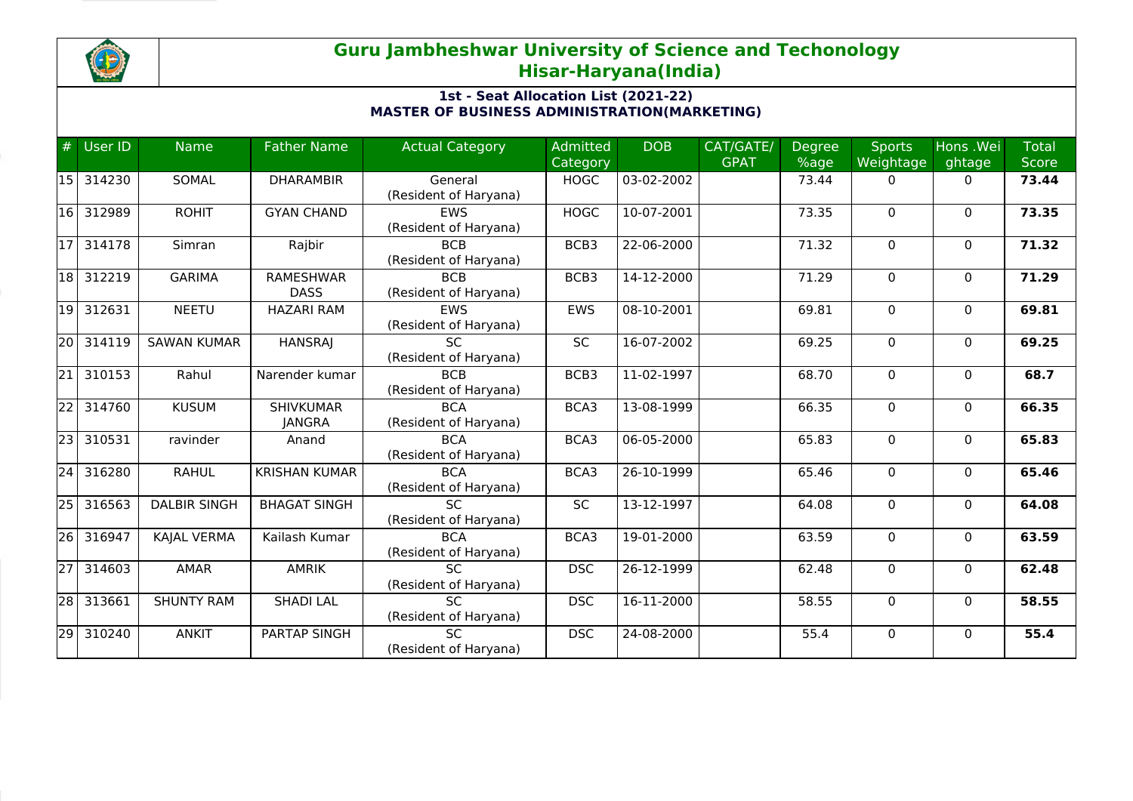

## **Guru Jambheshwar University of Science and Techonology Hisar-Haryana(India)**

## **1st - Seat Allocation List (2021-22) MASTER OF BUSINESS ADMINISTRATION(MARKETING)**

| #               | User ID | <b>Name</b>         | <b>Father Name</b>   | <b>Actual Category</b> | <b>Admitted</b> | <b>DOB</b> | CAT/GATE/   | <b>Degree</b> | <b>Sports</b> | Hons .Wei    | <b>Total</b> |
|-----------------|---------|---------------------|----------------------|------------------------|-----------------|------------|-------------|---------------|---------------|--------------|--------------|
|                 |         |                     |                      |                        | Category        |            | <b>GPAT</b> | %age          | Weightage     | ghtage       | <b>Score</b> |
| 15              | 314230  | SOMAL               | <b>DHARAMBIR</b>     | General                | <b>HOGC</b>     | 03-02-2002 |             | 73.44         | 0             | 0            | 73.44        |
|                 |         |                     |                      | (Resident of Haryana)  |                 |            |             |               |               |              |              |
| 16              | 312989  | <b>ROHIT</b>        | <b>GYAN CHAND</b>    | <b>EWS</b>             | <b>HOGC</b>     | 10-07-2001 |             | 73.35         | $\Omega$      | $\mathbf 0$  | 73.35        |
|                 |         |                     |                      | (Resident of Haryana)  |                 |            |             |               |               |              |              |
| 17 <sup>1</sup> | 314178  | Simran              | Rajbir               | <b>BCB</b>             | BCB3            | 22-06-2000 |             | 71.32         | $\Omega$      | $\mathbf{0}$ | 71.32        |
|                 |         |                     |                      | (Resident of Haryana)  |                 |            |             |               |               |              |              |
| 18              | 312219  | <b>GARIMA</b>       | <b>RAMESHWAR</b>     | <b>BCB</b>             | BCB3            | 14-12-2000 |             | 71.29         | 0             | 0            | 71.29        |
|                 |         |                     | <b>DASS</b>          | (Resident of Haryana)  |                 |            |             |               |               |              |              |
| 19              | 312631  | <b>NEETU</b>        | <b>HAZARI RAM</b>    | EWS                    | <b>EWS</b>      | 08-10-2001 |             | 69.81         | 0             | $\mathbf 0$  | 69.81        |
|                 |         |                     |                      | (Resident of Haryana)  |                 |            |             |               |               |              |              |
| 20 l            | 314119  | <b>SAWAN KUMAR</b>  | <b>HANSRAJ</b>       | <b>SC</b>              | <b>SC</b>       | 16-07-2002 |             | 69.25         | 0             | $\mathbf 0$  | 69.25        |
|                 |         |                     |                      | (Resident of Haryana)  |                 |            |             |               |               |              |              |
| $\overline{21}$ | 310153  | Rahul               | Narender kumar       | <b>BCB</b>             | BCB3            | 11-02-1997 |             | 68.70         | 0             | 0            | 68.7         |
|                 |         |                     |                      | (Resident of Haryana)  |                 |            |             |               |               |              |              |
| 22              | 314760  | <b>KUSUM</b>        | <b>SHIVKUMAR</b>     | <b>BCA</b>             | BCA3            | 13-08-1999 |             | 66.35         | $\Omega$      | $\mathbf{0}$ | 66.35        |
|                 |         |                     | <b>JANGRA</b>        | (Resident of Haryana)  |                 |            |             |               |               |              |              |
| 23              | 310531  | ravinder            | Anand                | <b>BCA</b>             | BCA3            | 06-05-2000 |             | 65.83         | 0             | $\mathbf{0}$ | 65.83        |
|                 |         |                     |                      | (Resident of Haryana)  |                 |            |             |               |               |              |              |
| 24              | 316280  | <b>RAHUL</b>        | <b>KRISHAN KUMAR</b> | <b>BCA</b>             | BCA3            | 26-10-1999 |             | 65.46         | 0             | $\mathbf{0}$ | 65.46        |
|                 |         |                     |                      | (Resident of Haryana)  |                 |            |             |               |               |              |              |
| 25              | 316563  | <b>DALBIR SINGH</b> | <b>BHAGAT SINGH</b>  | <b>SC</b>              | <b>SC</b>       | 13-12-1997 |             | 64.08         | $\Omega$      | $\Omega$     | 64.08        |
|                 |         |                     |                      | (Resident of Haryana)  |                 |            |             |               |               |              |              |
| 26              | 316947  | KAJAL VERMA         | Kailash Kumar        | <b>BCA</b>             | BCA3            | 19-01-2000 |             | 63.59         | 0             | 0            | 63.59        |
|                 |         |                     |                      | (Resident of Haryana)  |                 |            |             |               |               |              |              |
| $\overline{27}$ | 314603  | <b>AMAR</b>         | <b>AMRIK</b>         | $\overline{SC}$        | <b>DSC</b>      | 26-12-1999 |             | 62.48         | 0             | $\mathbf{0}$ | 62.48        |
|                 |         |                     |                      | (Resident of Haryana)  |                 |            |             |               |               |              |              |
| $\overline{28}$ | 313661  | <b>SHUNTY RAM</b>   | <b>SHADI LAL</b>     | <b>SC</b>              | <b>DSC</b>      | 16-11-2000 |             | 58.55         | 0             | $\Omega$     | 58.55        |
|                 |         |                     |                      | (Resident of Haryana)  |                 |            |             |               |               |              |              |
| 29              | 310240  | <b>ANKIT</b>        | PARTAP SINGH         | SC                     | <b>DSC</b>      | 24-08-2000 |             | 55.4          | 0             | $\mathbf 0$  | 55.4         |
|                 |         |                     |                      | (Resident of Haryana)  |                 |            |             |               |               |              |              |